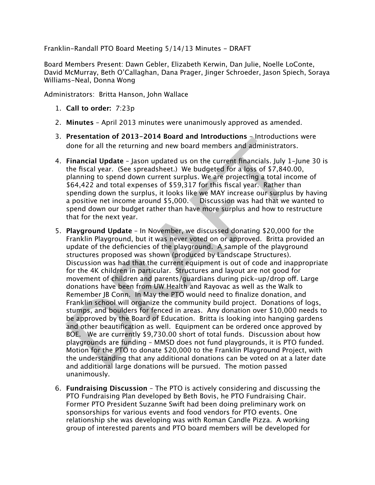Franklin-Randall PTO Board Meeting 5/14/13 Minutes - DRAFT

Board Members Present: Dawn Gebler, Elizabeth Kerwin, Dan Julie, Noelle LoConte, David McMurray, Beth O'Callaghan, Dana Prager, Jinger Schroeder, Jason Spiech, Soraya Williams-Neal, Donna Wong

Administrators: Britta Hanson, John Wallace

- 1. **Call to order:** 7:23p
- 2. **Minutes** April 2013 minutes were unanimously approved as amended.
- 3. **Presentation of 2013-2014 Board and Introductions** Introductions were done for all the returning and new board members and administrators.
- 4. **Financial Update** Jason updated us on the current financials. July 1-June 30 is the fiscal year. (See spreadsheet.) We budgeted for a loss of \$7,840.00, planning to spend down current surplus. We are projecting a total income of \$64,422 and total expenses of \$59,317 for this fiscal year. Rather than spending down the surplus, it looks like we MAY increase our surplus by having a positive net income around \$5,000. Discussion was had that we wanted to spend down our budget rather than have more surplus and how to restructure that for the next year.
- Fresentation of 2013-20014 boat and introductions Samulto the first and the formal and the fiscal year. (See spreadsheet.) We budgeted for a loss of \$7,840.C planning to spend down current surplus. We are projecting a tota 5. **Playground Update** – In November, we discussed donating \$20,000 for the Franklin Playground, but it was never voted on or approved. Britta provided an update of the deficiencies of the playground. A sample of the playground structures proposed was shown (produced by Landscape Structures). Discussion was had that the current equipment is out of code and inappropriate for the 4K children in particular. Structures and layout are not good for movement of children and parents/guardians during pick-up/drop of. Large donations have been from UW Health and Rayovac as well as the Walk to Remember JB Conn. In May the PTO would need to finalize donation, and Franklin school will organize the community build project. Donations of logs, stumps, and boulders for fenced in areas. Any donation over \$10,000 needs to be approved by the Board of Education. Britta is looking into hanging gardens and other beautification as well. Equipment can be ordered once approved by BOE. We are currently \$9,730.00 short of total funds. Discussion about how playgrounds are funding – MMSD does not fund playgrounds, it is PTO funded. Motion for the PTO to donate \$20,000 to the Franklin Playground Project, with the understanding that any additional donations can be voted on at a later date and additional large donations will be pursued. The motion passed unanimously.
- 6. **Fundraising Discussion** The PTO is actively considering and discussing the PTO Fundraising Plan developed by Beth Bovis, he PTO Fundraising Chair. Former PTO President Suzanne Swift had been doing preliminary work on sponsorships for various events and food vendors for PTO events. One relationship she was developing was with Roman Candle Pizza. A working group of interested parents and PTO board members will be developed for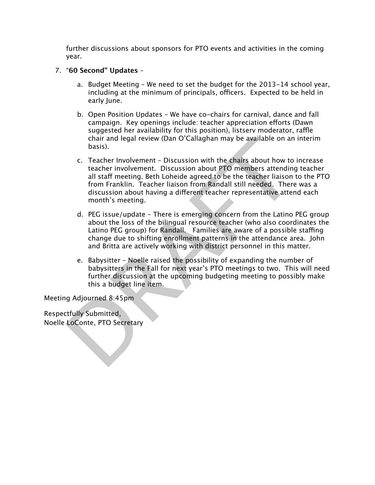further discussions about sponsors for PTO events and activities in the coming year.

## 7. "**60 Second" Updates** –

- a. Budget Meeting We need to set the budget for the 2013-14 school year, including at the minimum of principals, officers. Expected to be held in early June.
- b. Open Position Updates We have co-chairs for carnival, dance and fall campaign. Key openings include: teacher appreciation efforts (Dawn) suggested her availability for this position), listsery moderator, raffle chair and legal review (Dan O'Callaghan may be available on an interim basis).
- chara and legal review (Dan O'Callaghan may be available on an<br>basis).<br>C. Teacher Involvement Discussion with the chairs about how to<br>teacher involvement. Discussion about PTO members attending<br>all staff meeting. Beth Lo c. Teacher Involvement – Discussion with the chairs about how to increase teacher involvement. Discussion about PTO members attending teacher all staf meeting. Beth Loheide agreed to be the teacher liaison to the PTO from Franklin. Teacher liaison from Randall still needed. There was a discussion about having a diferent teacher representative attend each month's meeting.
	- d. PEG issue/update There is emerging concern from the Latino PEG group about the loss of the bilingual resource teacher (who also coordinates the Latino PEG group) for Randall. Families are aware of a possible staffing change due to shifting enrollment patterns in the attendance area. John and Britta are actively working with district personnel in this matter.
	- e. Babysitter Noelle raised the possibility of expanding the number of babysitters in the Fall for next year's PTO meetings to two. This will need further discussion at the upcoming budgeting meeting to possibly make this a budget line item.

Meeting Adjourned 8:45pm

Respectfully Submitted, Noelle LoConte, PTO Secretary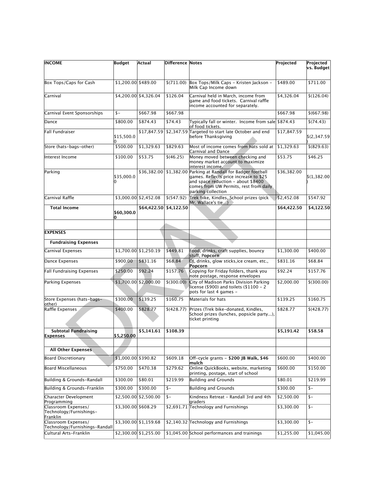| <b>INCOME</b>                                              | Budget               | Actual                 | Difference Notes |                                                                                                                                                                                                               | Projected   | Projected    |
|------------------------------------------------------------|----------------------|------------------------|------------------|---------------------------------------------------------------------------------------------------------------------------------------------------------------------------------------------------------------|-------------|--------------|
|                                                            |                      |                        |                  |                                                                                                                                                                                                               |             | vs. Budget   |
| Box Tops/Caps for Cash                                     | \$1,200.00 \$489.00  |                        | \$(711.00)       | Box Tops/Milk Caps - Kristen Jackson -<br>Milk Cap Income down                                                                                                                                                | \$489.00    | \$711.00     |
| Carnival                                                   |                      | \$4,200.00 \$4,326.04  | \$126.04         | Carnival held in March, income from<br>game and food tickets. Carnival raffle<br>income accounted for separately.                                                                                             | \$4,326.04  | \$(126.04)   |
| Carnival Event Sponsorships                                | $s-$                 | \$667.98               | \$667.98         |                                                                                                                                                                                                               | \$667.98    | \$ (667.98)  |
| Dance                                                      | \$800.00             | \$874.43               | \$74.43          | Typically fall or winter. Income from sale \$874.43<br>of food tickets.                                                                                                                                       |             | \$(74.43)    |
| Fall Fundraiser                                            | \$15,500.0           |                        |                  | $$17,847.59$ $$2,347.59$ Targeted to start late October and end<br>before Thanksgiving                                                                                                                        | \$17,847.59 | \$(2,347.59) |
| Store (hats-bags-other)                                    | \$500.00             | \$1,329.63             | \$829.63         | Most of income comes from hats sold at<br>Carnival and Dance                                                                                                                                                  | \$1,329.63  | \$ (829.63)  |
| Interest Income                                            | \$100.00             | \$53.75                | \$(46.25)        | Money moved between checking and<br>money market account to maximize<br>interest income.                                                                                                                      | \$53.75     | \$46.25      |
| Parking                                                    | \$35,000.0           |                        |                  | \$36,382.00 \$1,382.00 Parking at Randall for Badger football<br>games. Reflects price increase to \$25<br>and space reduction - about \$8400<br>comes from UW Permits, rest from daily<br>parking collection | \$36,382.00 | \$(1,382.00) |
| Carnival Raffle                                            |                      | \$3,000.00 \$2,452.08  | \$ (547.92)      | Trek bike, Kindles, School prizes (pick)<br>Mr. Wallace's tie)                                                                                                                                                | \$2,452.08  | \$547.92     |
| <b>Total Income</b>                                        | \$60,300.0           | \$64,422.50            | \$4,122.50       |                                                                                                                                                                                                               | \$64,422.50 | \$4,122.50   |
|                                                            |                      |                        |                  |                                                                                                                                                                                                               |             |              |
| <b>EXPENSES</b>                                            |                      |                        |                  |                                                                                                                                                                                                               |             |              |
| <b>Fundraising Expenses</b>                                |                      |                        |                  |                                                                                                                                                                                                               |             |              |
| Carnival Expenses                                          |                      | \$1,700.00 \$1,250.19  | \$449.81         | Food, drinks, craft supplies, bouncy<br>stuff, Popcorn                                                                                                                                                        | \$1,300.00  | \$400.00     |
| Dance Expenses                                             | \$900.00             | \$831.16               | \$68.84          | DJ, drinks, glow sticks, ice cream, etc.,<br>Popcorn                                                                                                                                                          | \$831.16    | \$68.84      |
| Fall Fundraising Expenses                                  | \$250.00             | \$92.24                | \$157.76         | Copying for Friday folders, thank you<br>note postage, response envelopes                                                                                                                                     | \$92.24     | \$157.76     |
| Parking Expenses                                           |                      | $$1,700.00$ \$2,000.00 | \$ (300.00)      | City of Madison Parks Division Parking<br>license (\$900) and toilets (\$1100 - 2<br>pots for last 4 games -                                                                                                  | \$2,000.00  | \$ (300.00)  |
| Store Expenses (hats-bags-                                 | \$300.00             | \$139.25               | \$160.75         | Materials for hats                                                                                                                                                                                            | \$139.25    | \$160.75     |
| other)<br>Raffle Expenses                                  | \$400.00             | \$828.77               | \$ (428.77)      | Prizes (Trek bike-donated, Kindles,<br>School prizes (lunches, popsicle party),<br>ticket printing                                                                                                            | \$828.77    | \$ (428.77)  |
| <b>Subtotal Fundraising</b><br>Expenses                    | \$5,250.00           | \$5.141.61             | \$108.39         |                                                                                                                                                                                                               | \$5,191.42  | \$58.58      |
|                                                            |                      |                        |                  |                                                                                                                                                                                                               |             |              |
| All Other Expenses                                         |                      |                        |                  |                                                                                                                                                                                                               |             |              |
| Board Discretionary                                        | $$1,000.00$ \$390.82 |                        | \$609.18         | Off-cycle grants - \$200 JB Walk, \$46<br>lmulch                                                                                                                                                              | \$600.00    | \$400.00     |
| Board Miscellaneous                                        | \$750.00             | \$470.38               | \$279.62         | Online QuickBooks, website, marketing<br>printing, postage, start of school                                                                                                                                   | \$600.00    | \$150.00     |
| Building & Grounds-Randall                                 | \$300.00             | \$80.01                | \$219.99         | <b>Building and Grounds</b>                                                                                                                                                                                   | \$80.01     | \$219.99     |
| Building & Grounds-Franklin                                | \$300.00             | \$300.00               | $$ -$            | <b>Building and Grounds</b>                                                                                                                                                                                   | \$300.00    | $s-$         |
| Character Development<br>Programming                       |                      | \$2,500.00 \$2,500.00  | $s-$             | Kindness Retreat - Randall 3rd and 4th<br>lgraders                                                                                                                                                            | \$2,500.00  | $s-$         |
| Classroom Expenses/<br>Technology/Furnishings-<br>Franklin | \$3,300.00 \$608.29  |                        |                  | \$2,691.71 Technology and Furnishings                                                                                                                                                                         | \$3,300.00  | $s-$         |
| Classroom Expenses/<br>Technology/Furnishings-Randall      |                      | \$3,300.00 \$1,159.68  |                  | \$2,140.32 Technology and Furnishings                                                                                                                                                                         | \$3,300.00  | $$ -$        |
| Cultural Arts-Franklin                                     |                      | $$2,300.00 \ 1,255.00$ |                  | \$1,045.00 School performances and trainings                                                                                                                                                                  | \$1,255.00  | \$1,045.00   |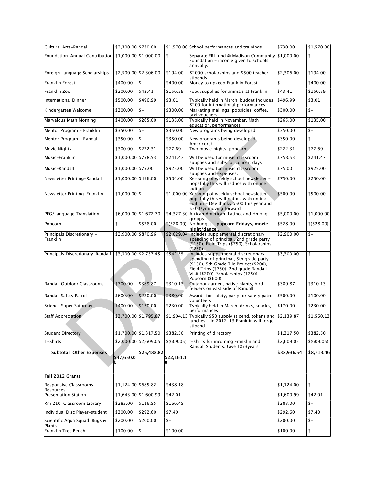| Cultural Arts-Randall                                   | \$2,300.00 \$730.00 |                       |                  | \$1,570.00 School performances and trainings                                                                                                                                                                                       | \$730.00    | \$1,570.00  |
|---------------------------------------------------------|---------------------|-----------------------|------------------|------------------------------------------------------------------------------------------------------------------------------------------------------------------------------------------------------------------------------------|-------------|-------------|
| Foundation-Annual Contribution $ \$1,000.00 \$1,000.00$ |                     |                       | $s-$             | Separate FRI fund @ Madison Community  \$1,000.00<br>Foundation - income given to schools<br>annually.                                                                                                                             |             | $s-$        |
| Foreign Language Scholarships                           |                     | \$2,500.00 \$2,306.00 | \$194.00         | \$2000 scholarships and \$500 teacher<br>stipends                                                                                                                                                                                  | \$2,306.00  | \$194.00    |
| Franklin Forest                                         | \$400.00            | $s-$                  | \$400.00         | Money to upkeep Franklin Forest                                                                                                                                                                                                    | $s -$       | \$400.00    |
| Franklin Zoo                                            | \$200.00            | \$43.41               | \$156.59         | Food/supplies for animals at Franklin                                                                                                                                                                                              | \$43.41     | \$156.59    |
| International Dinner                                    | \$500.00            | \$496.99              | \$3.01           | Typically held in March, budget includes<br>\$200 for international performances                                                                                                                                                   | \$496.99    | \$3.01      |
| Kindergarten Welcome                                    | \$300.00            | $s-$                  | \$300.00         | Marketing mailings, popsicles, coffee,<br>taxi vouchers                                                                                                                                                                            | \$300.00    | $s-$        |
| Marvelous Math Morning                                  | \$400.00            | \$265.00              | \$135.00         | Typically held in November, Math<br>education/performances                                                                                                                                                                         | \$265.00    | \$135.00    |
| Mentor Program - Franklin                               | \$350.00            | $s-$                  | \$350.00         | New programs being developed                                                                                                                                                                                                       | \$350.00    | $s-$        |
| Mentor Program - Randall                                | \$350.00            | $s-$                  | \$350.00         | New programs being developed -<br>Americore?                                                                                                                                                                                       | \$350.00    | $s-$        |
| Movie Nights                                            | \$300.00            | \$222.31              | \$77.69          | Two movie nights, popcorn                                                                                                                                                                                                          | \$222.31    | \$77.69     |
| Music-Franklin                                          | \$1,000.00 \$758.53 |                       | \$241.47         | Will be used for music classroom<br>supplies and subs for concert days                                                                                                                                                             | \$758.53    | \$241.47    |
| Music-Randall                                           | $$1,000.00$ \$75.00 |                       | \$925.00         | Will be used for music classroom<br>supplies and expenses.                                                                                                                                                                         | \$75.00     | \$925.00    |
| Newsletter Printing-Randall                             | \$1,000.00 \$496.00 |                       | \$504.00         | Xeroxing of weekly school newsletter -<br>hopefully this will reduce with online<br>edition                                                                                                                                        | \$750.00    | \$250.00    |
| Newsletter Printing-Franklin                            | $$1,000.00$ \$-     |                       |                  | \$1,000.00 Xeroxing of weekly school newsletter -<br>hopefully this will reduce with online<br>edition - Dee thinks \$500 this year and<br>\$500/yr moving forward                                                                 | \$500.00    | \$500.00    |
| PEG/Language Translation                                |                     | \$6,000.00 \$1,672.70 |                  | \$4,327.30 African American, Latino, and Hmong                                                                                                                                                                                     | \$5,000.00  | \$1,000.00  |
| Popcorn                                                 | $s-$                | \$528.00              | \$ (528.00)      | groups<br>No budget - popcorn Fridays, movie<br>night/dance                                                                                                                                                                        | \$528.00    | \$ (528.00) |
| Principals Discretionary -<br>Franklin                  | \$2,900.00 \$870.96 |                       |                  | \$2,029.04 Includes supplemental discretionary<br>spending of principal, 2nd grade party<br>(\$150), Field Trips (\$750), Scholarships<br>( \$250)                                                                                 | \$2,900.00  | $s-$        |
| Principals Discretionary-Randall                        |                     | \$3,300.00 \$2,757.45 | \$542.55         | Includes supplemental discretionary<br>spending of principal, 5th grade party<br>$($150)$ , 5th Grade Tile Project $($200)$ ,<br>Field Trips (\$750), 2nd grade Randall<br>Visit (\$200), Scholarships (\$250),<br>Popcorn (\$600) | \$3,300.00  | $s-$        |
| Randall Outdoor Classrooms                              | \$700.00            | \$389.87              | \$310.13         | Outdoor garden, native plants, bird<br>feeders on east side of Randall                                                                                                                                                             | \$389.87    | \$310.13    |
| Randall Safety Patrol                                   | \$600.00            | \$220.00              | \$380.00         | Awards for safety, party for safety patrol<br>volunteers                                                                                                                                                                           | \$500.00    | \$100.00    |
| Science Super Saturday                                  | \$400.00            | \$170.00              | \$230.00         | Typically held in March, drinks, snacks,<br>performances                                                                                                                                                                           | \$170.00    | \$230.00    |
| Staff Appreciation                                      |                     | \$3,700.00 \$1,795.87 |                  | \$1,904.13 Typically \$50 supply stipend, tokens and \$2,139.87<br>lunches - In 2012-13 Franklin will forgo<br>stipend.                                                                                                            |             | \$1,560.13  |
| <b>Student Directory</b>                                |                     | \$1,700.00 \$1,317.50 | \$382.50         | Printing of directory                                                                                                                                                                                                              | \$1,317.50  | \$382.50    |
| T-Shirts                                                |                     | \$2,000.00 \$2,609.05 | \$(609.05)       | t-shirts for incoming Franklin and<br>Randall Students. Give 1X/3years                                                                                                                                                             | \$2,609.05  | \$ (609.05) |
| <b>Subtotal Other Expenses</b>                          | \$47,650.0<br>Ю     | \$25,488.82           | \$22,161.1<br>18 |                                                                                                                                                                                                                                    | \$38,936.54 | \$8,713.46  |
| Fall 2012 Grants                                        |                     |                       |                  |                                                                                                                                                                                                                                    |             |             |
| <b>Responsive Classrooms</b>                            | \$1,124.00 \$685.82 |                       | \$438.18         |                                                                                                                                                                                                                                    | \$1,124.00  | $s-$        |
| <b>Resources</b><br><b>Presentation Station</b>         |                     | \$1,643.00 \$1,600.99 | \$42.01          |                                                                                                                                                                                                                                    | \$1,600.99  | \$42.01     |
| Rm 210 Classroom Library                                | \$283.00            | \$116.55              | \$166.45         |                                                                                                                                                                                                                                    | \$283.00    | \$-         |
| Individual Disc Player-student                          | \$300.00            | \$292.60              | \$7.40           |                                                                                                                                                                                                                                    | \$292.60    | \$7.40      |
| Scientific Aqua Squad: Bugs &<br>Plants                 | \$200.00            | \$200.00              | $$ -$            |                                                                                                                                                                                                                                    | \$200.00    | $$ -$       |
| Franklin Tree Bench                                     | \$100.00            | $s-$                  | \$100.00         |                                                                                                                                                                                                                                    | \$100.00    | $$ -$       |